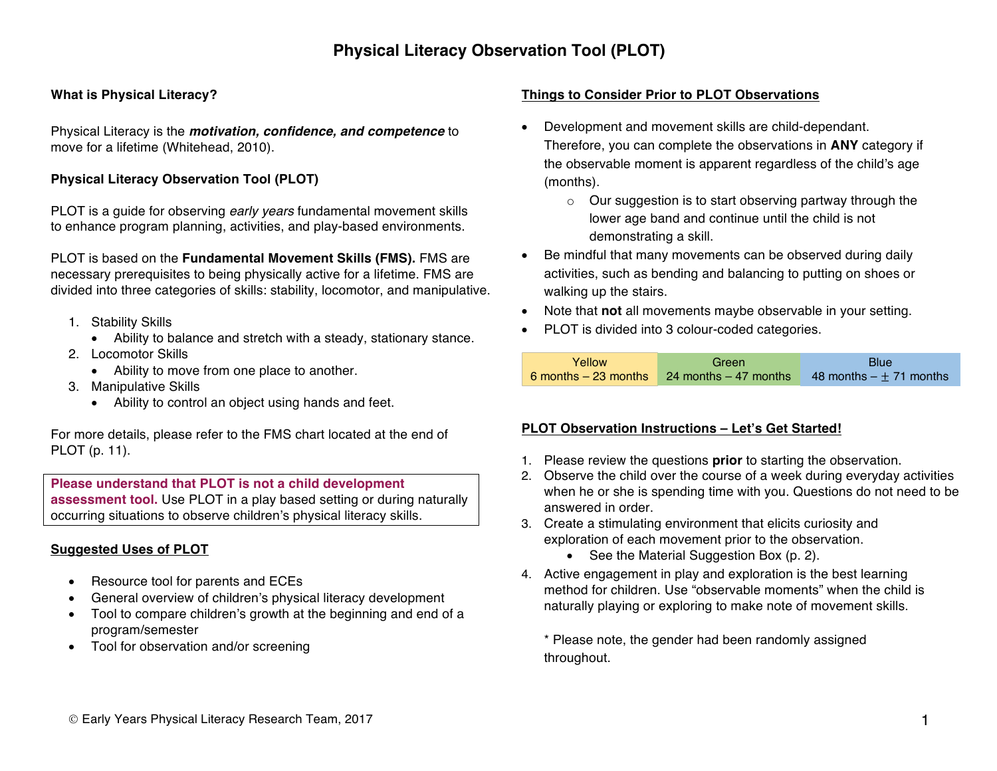## **What is Physical Literacy?**

Physical Literacy is the *motivation, confidence, and competence* to move for a lifetime (Whitehead, 2010).

## **Physical Literacy Observation Tool (PLOT)**

PLOT is a guide for observing *early years* fundamental movement skills to enhance program planning, activities, and play-based environments.

PLOT is based on the **Fundamental Movement Skills (FMS).** FMS are necessary prerequisites to being physically active for a lifetime. FMS are divided into three categories of skills: stability, locomotor, and manipulative.

- 1. Stability Skills
	- Ability to balance and stretch with a steady, stationary stance.
- 2. Locomotor Skills
	- Ability to move from one place to another.
- 3. Manipulative Skills
	- Ability to control an object using hands and feet.

For more details, please refer to the FMS chart located at the end of PLOT (p. 11).

**Please understand that PLOT is not a child development assessment tool.** Use PLOT in a play based setting or during naturally occurring situations to observe children's physical literacy skills.

## **Suggested Uses of PLOT**

- Resource tool for parents and ECEs
- General overview of children's physical literacy development
- Tool to compare children's growth at the beginning and end of a program/semester
- Tool for observation and/or screening

### **Things to Consider Prior to PLOT Observations**

- Development and movement skills are child-dependant. Therefore, you can complete the observations in **ANY** category if the observable moment is apparent regardless of the child's age (months).
	- o Our suggestion is to start observing partway through the lower age band and continue until the child is not demonstrating a skill.
- Be mindful that many movements can be observed during daily activities, such as bending and balancing to putting on shoes or walking up the stairs.
- Note that **not** all movements maybe observable in your setting.
- PLOT is divided into 3 colour-coded categories.

| Yellow | Green                                                                  | <b>Blue</b>                        |
|--------|------------------------------------------------------------------------|------------------------------------|
|        | $\overline{6}$ months $-23$ months $\overline{24}$ months $-47$ months | $\sqrt{48}$ months $- + 71$ months |

#### **PLOT Observation Instructions – Let's Get Started!**

- 1. Please review the questions **prior** to starting the observation.
- 2. Observe the child over the course of a week during everyday activities when he or she is spending time with you. Questions do not need to be answered in order.
- 3. Create a stimulating environment that elicits curiosity and exploration of each movement prior to the observation.
	- See the Material Suggestion Box (p. 2).
- 4. Active engagement in play and exploration is the best learning method for children. Use "observable moments" when the child is naturally playing or exploring to make note of movement skills.

\* Please note, the gender had been randomly assigned throughout.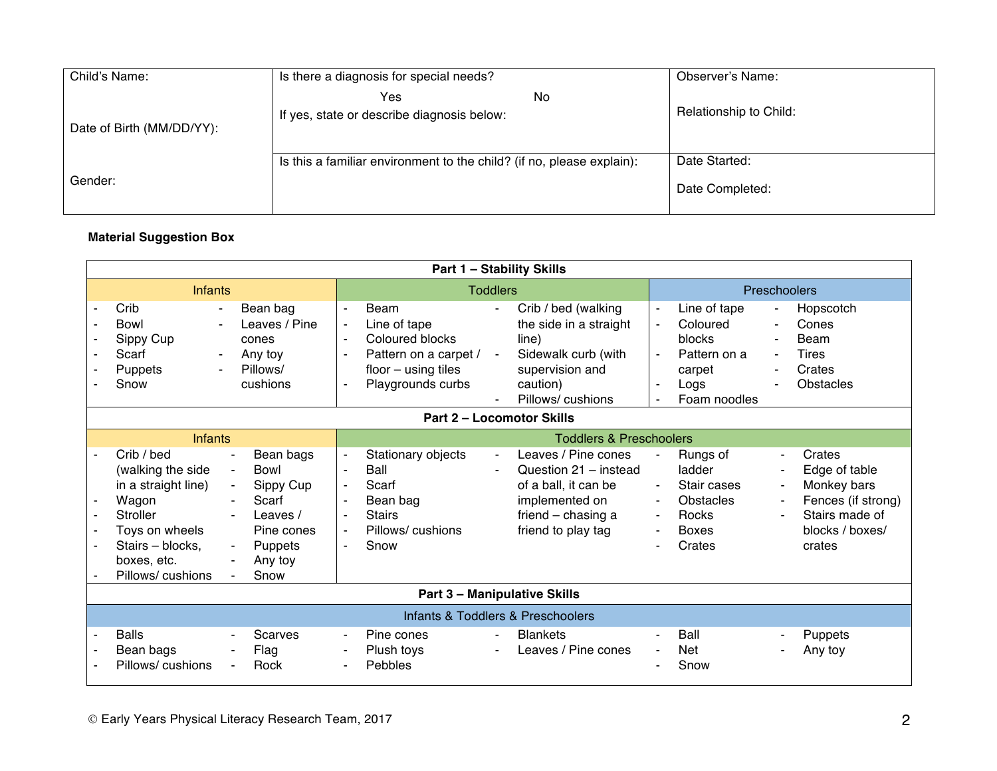| Child's Name:             | Is there a diagnosis for special needs?                               | Observer's Name:                 |
|---------------------------|-----------------------------------------------------------------------|----------------------------------|
| Date of Birth (MM/DD/YY): | No<br>Yes<br>If yes, state or describe diagnosis below:               | Relationship to Child:           |
| Gender:                   | Is this a familiar environment to the child? (if no, please explain): | Date Started:<br>Date Completed: |

# **Material Suggestion Box**

|                                  | <b>Part 1 - Stability Skills</b>                                                                                                                                                                                                                                                                                                               |                                                                                |                                                                                                                |                                            |                                                                                                                                    |                                                                      |                                                                                             |                                                                      |                                                                                                             |  |  |
|----------------------------------|------------------------------------------------------------------------------------------------------------------------------------------------------------------------------------------------------------------------------------------------------------------------------------------------------------------------------------------------|--------------------------------------------------------------------------------|----------------------------------------------------------------------------------------------------------------|--------------------------------------------|------------------------------------------------------------------------------------------------------------------------------------|----------------------------------------------------------------------|---------------------------------------------------------------------------------------------|----------------------------------------------------------------------|-------------------------------------------------------------------------------------------------------------|--|--|
| <b>Infants</b>                   |                                                                                                                                                                                                                                                                                                                                                |                                                                                | <b>Toddlers</b>                                                                                                |                                            |                                                                                                                                    |                                                                      | Preschoolers                                                                                |                                                                      |                                                                                                             |  |  |
|                                  | Crib<br>Bean bag<br>$\sim$<br><b>Bowl</b><br>Leaves / Pine<br>Sippy Cup<br>cones<br>Scarf<br>Any toy<br>$\blacksquare$<br>Pillows/<br>Puppets<br>Snow<br>cushions                                                                                                                                                                              | $\blacksquare$<br>$\blacksquare$<br>$\blacksquare$<br>$\sim$<br>$\blacksquare$ | Beam<br>Line of tape<br>Coloured blocks<br>Pattern on a carpet /<br>$floor - using tiles$<br>Playgrounds curbs | $\blacksquare$<br>$\blacksquare$           | Crib / bed (walking<br>the side in a straight<br>line)<br>Sidewalk curb (with<br>supervision and<br>caution)<br>Pillows/cushions   | $\blacksquare$<br>$\blacksquare$<br>$\blacksquare$<br>$\blacksquare$ | Line of tape<br>Coloured<br><b>blocks</b><br>Pattern on a<br>carpet<br>Logs<br>Foam noodles | $\blacksquare$<br>$\blacksquare$<br>$\blacksquare$<br>$\blacksquare$ | Hopscotch<br>Cones<br><b>Beam</b><br><b>Tires</b><br>Crates<br>Obstacles                                    |  |  |
| <b>Part 2 - Locomotor Skills</b> |                                                                                                                                                                                                                                                                                                                                                |                                                                                |                                                                                                                |                                            |                                                                                                                                    |                                                                      |                                                                                             |                                                                      |                                                                                                             |  |  |
|                                  | <b>Infants</b>                                                                                                                                                                                                                                                                                                                                 |                                                                                |                                                                                                                |                                            | <b>Toddlers &amp; Preschoolers</b>                                                                                                 |                                                                      |                                                                                             |                                                                      |                                                                                                             |  |  |
|                                  | Crib / bed<br>Bean bags<br>٠<br>Bowl<br>(walking the side<br>$\blacksquare$<br>in a straight line)<br>Sippy Cup<br>$\blacksquare$<br>Wagon<br>Scarf<br>۰.<br><b>Stroller</b><br>Leaves /<br>$\sim$<br>Toys on wheels<br>Pine cones<br>Stairs - blocks,<br>Puppets<br>$\blacksquare$<br>boxes, etc.<br>Any toy<br>٠<br>Snow<br>Pillows/cushions | $\blacksquare$<br>$\sim$<br>$\blacksquare$<br>$\sim$                           | Stationary objects<br>Ball<br>Scarf<br>Bean bag<br><b>Stairs</b><br>Pillows/cushions<br>Snow                   | $\blacksquare$<br>$\overline{\phantom{0}}$ | Leaves / Pine cones<br>Question 21 - instead<br>of a ball, it can be<br>implemented on<br>friend - chasing a<br>friend to play tag | $\sim$                                                               | Rungs of<br>ladder<br>Stair cases<br><b>Obstacles</b><br>Rocks<br><b>Boxes</b><br>Crates    | ٠<br>$\blacksquare$                                                  | Crates<br>Edge of table<br>Monkey bars<br>Fences (if strong)<br>Stairs made of<br>blocks / boxes/<br>crates |  |  |
|                                  |                                                                                                                                                                                                                                                                                                                                                |                                                                                |                                                                                                                |                                            | <b>Part 3 - Manipulative Skills</b>                                                                                                |                                                                      |                                                                                             |                                                                      |                                                                                                             |  |  |
|                                  |                                                                                                                                                                                                                                                                                                                                                |                                                                                |                                                                                                                |                                            | Infants & Toddlers & Preschoolers                                                                                                  |                                                                      |                                                                                             |                                                                      |                                                                                                             |  |  |
|                                  | <b>Balls</b><br><b>Scarves</b><br>Bean bags<br>Flag<br>Pillows/cushions<br>Rock                                                                                                                                                                                                                                                                | $\sim$<br>$\blacksquare$<br>$\sim$                                             | Pine cones<br>Plush toys<br><b>Pebbles</b>                                                                     | ۰.<br>$\overline{\phantom{0}}$             | <b>Blankets</b><br>Leaves / Pine cones                                                                                             |                                                                      | Ball<br><b>Net</b><br>Snow                                                                  |                                                                      | <b>Puppets</b><br>Any toy                                                                                   |  |  |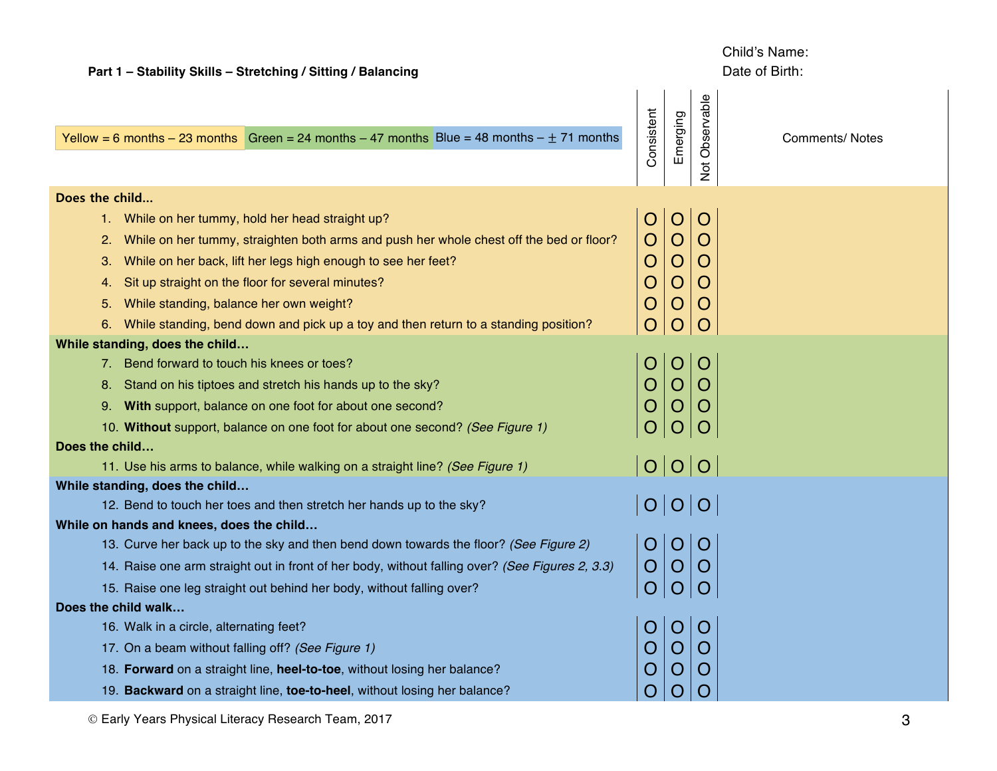| Part 1 - Stability Skills - Stretching / Sitting / Balancing                                    |                |                |                          | Date of Birth:         |
|-------------------------------------------------------------------------------------------------|----------------|----------------|--------------------------|------------------------|
| Yellow = 6 months - 23 months Green = 24 months - 47 months Blue = 48 months - $\pm$ 71 months  | Consistent     | Emerging       | Observable<br><b>Not</b> | <b>Comments/ Notes</b> |
| Does the child                                                                                  |                |                |                          |                        |
| While on her tummy, hold her head straight up?<br>1.                                            | O              | O              | O                        |                        |
| While on her tummy, straighten both arms and push her whole chest off the bed or floor?<br>2.   | O              | O              | O                        |                        |
| While on her back, lift her legs high enough to see her feet?<br>З.                             | O              | O              | O                        |                        |
| Sit up straight on the floor for several minutes?<br>4.                                         | O              | $\circ$        | O                        |                        |
| While standing, balance her own weight?<br>5.                                                   | O              | Ő              | Ő                        |                        |
| While standing, bend down and pick up a toy and then return to a standing position?<br>6.       | $\overline{O}$ | $\circ$        | O                        |                        |
| While standing, does the child                                                                  |                |                |                          |                        |
| 7. Bend forward to touch his knees or toes?                                                     |                | $\circ$        | Ő                        |                        |
| Stand on his tiptoes and stretch his hands up to the sky?<br>8.                                 |                | $\circ$        | O                        |                        |
| 9. With support, balance on one foot for about one second?                                      |                |                |                          |                        |
| 10. Without support, balance on one foot for about one second? (See Figure 1)                   |                | $\overline{O}$ | $\overline{O}$           |                        |
| Does the child                                                                                  |                |                |                          |                        |
| 11. Use his arms to balance, while walking on a straight line? (See Figure 1)                   | O O O          |                |                          |                        |
| While standing, does the child                                                                  |                |                |                          |                        |
| 12. Bend to touch her toes and then stretch her hands up to the sky?                            |                |                | O O O                    |                        |
| While on hands and knees, does the child                                                        |                |                |                          |                        |
| 13. Curve her back up to the sky and then bend down towards the floor? (See Figure 2)           | O              | $\overline{O}$ | $\overline{O}$           |                        |
| 14. Raise one arm straight out in front of her body, without falling over? (See Figures 2, 3.3) | $\overline{O}$ | O              | O                        |                        |
| 15. Raise one leg straight out behind her body, without falling over?                           |                |                |                          |                        |
| Does the child walk                                                                             |                | O O O          |                          |                        |
| 16. Walk in a circle, alternating feet?                                                         |                |                |                          |                        |
| 17. On a beam without falling off? (See Figure 1)                                               | O              |                | O                        |                        |
| 18. Forward on a straight line, heel-to-toe, without losing her balance?                        | Ő              | $\bigcup$      | O                        |                        |
| 19. Backward on a straight line, toe-to-heel, without losing her balance?                       | O              | Ő              |                          |                        |
| © Early Years Physical Literacy Research Team, 2017                                             |                |                |                          | 3                      |

Child's Name: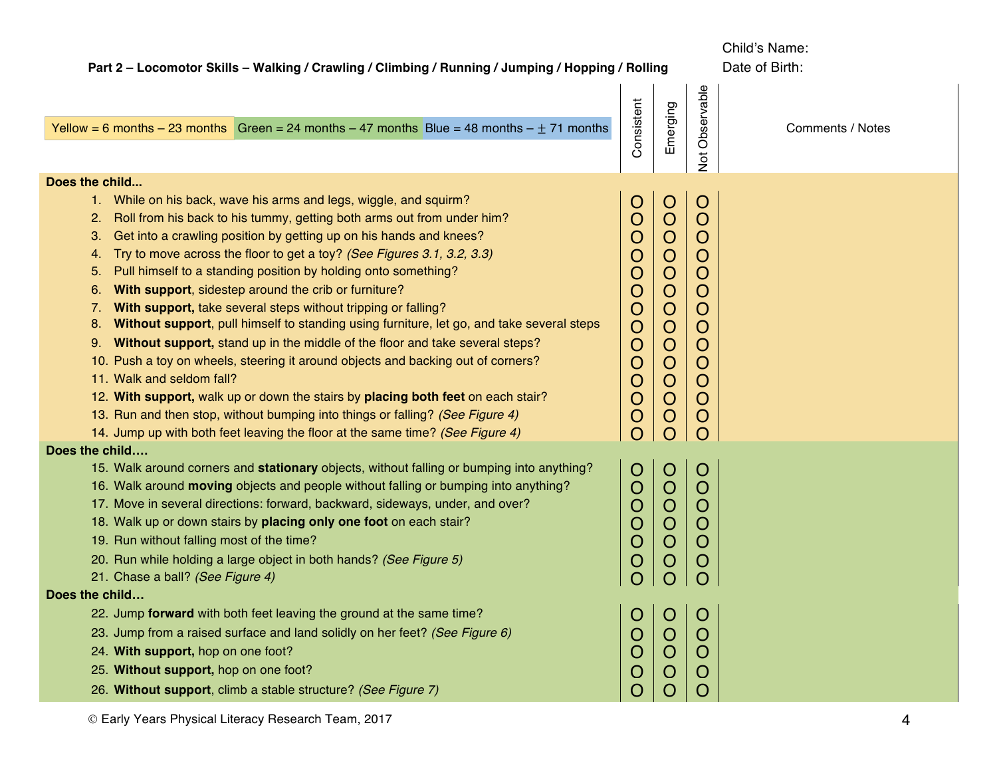| Part 2 - Locomotor Skills - Walking / Crawling / Climbing / Running / Jumping / Hopping / Rolling                                                                                                                                                                                                                                                                                                                                                                                                                                                                                                                                                                                                                                                                                                                                                                                                                                                                                                                                                                                          |                                                                                                                                                                                                     |                                                                                                                                                                                                                          |                                                                                                                                                                                                                                         | Child's Name:<br>Date of Birth: |  |  |
|--------------------------------------------------------------------------------------------------------------------------------------------------------------------------------------------------------------------------------------------------------------------------------------------------------------------------------------------------------------------------------------------------------------------------------------------------------------------------------------------------------------------------------------------------------------------------------------------------------------------------------------------------------------------------------------------------------------------------------------------------------------------------------------------------------------------------------------------------------------------------------------------------------------------------------------------------------------------------------------------------------------------------------------------------------------------------------------------|-----------------------------------------------------------------------------------------------------------------------------------------------------------------------------------------------------|--------------------------------------------------------------------------------------------------------------------------------------------------------------------------------------------------------------------------|-----------------------------------------------------------------------------------------------------------------------------------------------------------------------------------------------------------------------------------------|---------------------------------|--|--|
| Yellow = 6 months - 23 months Green = 24 months - 47 months Blue = 48 months - $\pm$ 71 months                                                                                                                                                                                                                                                                                                                                                                                                                                                                                                                                                                                                                                                                                                                                                                                                                                                                                                                                                                                             | Consistent                                                                                                                                                                                          | Emerging                                                                                                                                                                                                                 | Not Observable                                                                                                                                                                                                                          | Comments / Notes                |  |  |
| Does the child                                                                                                                                                                                                                                                                                                                                                                                                                                                                                                                                                                                                                                                                                                                                                                                                                                                                                                                                                                                                                                                                             |                                                                                                                                                                                                     |                                                                                                                                                                                                                          |                                                                                                                                                                                                                                         |                                 |  |  |
| 1. While on his back, wave his arms and legs, wiggle, and squirm?<br>Roll from his back to his tummy, getting both arms out from under him?<br>2.<br>Get into a crawling position by getting up on his hands and knees?<br>3.<br>Try to move across the floor to get a toy? (See Figures 3.1, 3.2, 3.3)<br>4.<br>Pull himself to a standing position by holding onto something?<br>5.<br>With support, sidestep around the crib or furniture?<br>6.<br>With support, take several steps without tripping or falling?<br>7.<br>Without support, pull himself to standing using furniture, let go, and take several steps<br>8.<br>Without support, stand up in the middle of the floor and take several steps?<br>9.<br>10. Push a toy on wheels, steering it around objects and backing out of corners?<br>11. Walk and seldom fall?<br>12. With support, walk up or down the stairs by placing both feet on each stair?<br>13. Run and then stop, without bumping into things or falling? (See Figure 4)<br>14. Jump up with both feet leaving the floor at the same time? (See Figure 4) | $\bigcirc$<br>$\overline{O}$<br>$\overline{O}$<br>O<br>$\bigcirc$<br>$\bigcirc$<br>$\bigcirc$<br>$\circ$<br>$\overline{O}$<br>$\overline{O}$<br>$\overline{O}$<br>$\overline{O}$<br>$\bigcirc$<br>O | $\bigcirc$<br>$\overline{O}$<br>$\overline{O}$<br>$\overline{O}$<br>$\mathbf O$<br>$\mathbf O$<br>$\overline{O}$<br>$\overline{O}$<br>$\mathbf O$<br>$\mathbf O$<br>$\overline{O}$<br>$\overline{O}$<br>$\mathbf O$<br>O | $\mathbf O$<br>$\overline{O}$<br>$\overline{O}$<br>$\mathsf{O}$<br>$\mathsf{O}$<br>$\mathsf{O}$<br>$\overline{O}$<br>$\mathsf{O}$<br>$\mathsf{O}$<br>$\overline{O}$<br>$\overline{O}$<br>$\mathsf{O}$<br>$\mathsf{O}$<br>$\overline{O}$ |                                 |  |  |
| Does the child                                                                                                                                                                                                                                                                                                                                                                                                                                                                                                                                                                                                                                                                                                                                                                                                                                                                                                                                                                                                                                                                             |                                                                                                                                                                                                     |                                                                                                                                                                                                                          |                                                                                                                                                                                                                                         |                                 |  |  |
| 15. Walk around corners and stationary objects, without falling or bumping into anything?<br>16. Walk around moving objects and people without falling or bumping into anything?<br>17. Move in several directions: forward, backward, sideways, under, and over?<br>18. Walk up or down stairs by placing only one foot on each stair?<br>19. Run without falling most of the time?<br>20. Run while holding a large object in both hands? (See Figure 5)<br>21. Chase a ball? (See Figure 4)<br>Does the child                                                                                                                                                                                                                                                                                                                                                                                                                                                                                                                                                                           | $\circ$<br>$\overline{O}$<br>$\overline{O}$<br>$\mathsf O$<br>$\overline{O}$<br>O                                                                                                                   | $\circ$<br>$\circ$<br>$\bigcirc$<br>$\overline{O}$<br>$\overline{O}$<br>$\circ$                                                                                                                                          | $\circ$<br>$\circ$<br>$\overline{O}$<br>$\overline{O}$<br>$\overline{O}$<br>$\mathsf{O}$<br>$\Omega$                                                                                                                                    |                                 |  |  |
| 22. Jump forward with both feet leaving the ground at the same time?<br>23. Jump from a raised surface and land solidly on her feet? (See Figure 6)<br>24. With support, hop on one foot?<br>25. Without support, hop on one foot?<br>26. Without support, climb a stable structure? (See Figure 7)                                                                                                                                                                                                                                                                                                                                                                                                                                                                                                                                                                                                                                                                                                                                                                                        | Ő<br>O<br>O<br>$\overline{O}$<br>Ő                                                                                                                                                                  | Ő<br>$\circ$<br>O<br>O<br>Ô                                                                                                                                                                                              | $\bigcirc$<br>$\circ$<br>$\mathcal{O}$<br>$\circ$<br>$\circ$                                                                                                                                                                            |                                 |  |  |
| © Early Years Physical Literacy Research Team, 2017                                                                                                                                                                                                                                                                                                                                                                                                                                                                                                                                                                                                                                                                                                                                                                                                                                                                                                                                                                                                                                        |                                                                                                                                                                                                     |                                                                                                                                                                                                                          |                                                                                                                                                                                                                                         | 4                               |  |  |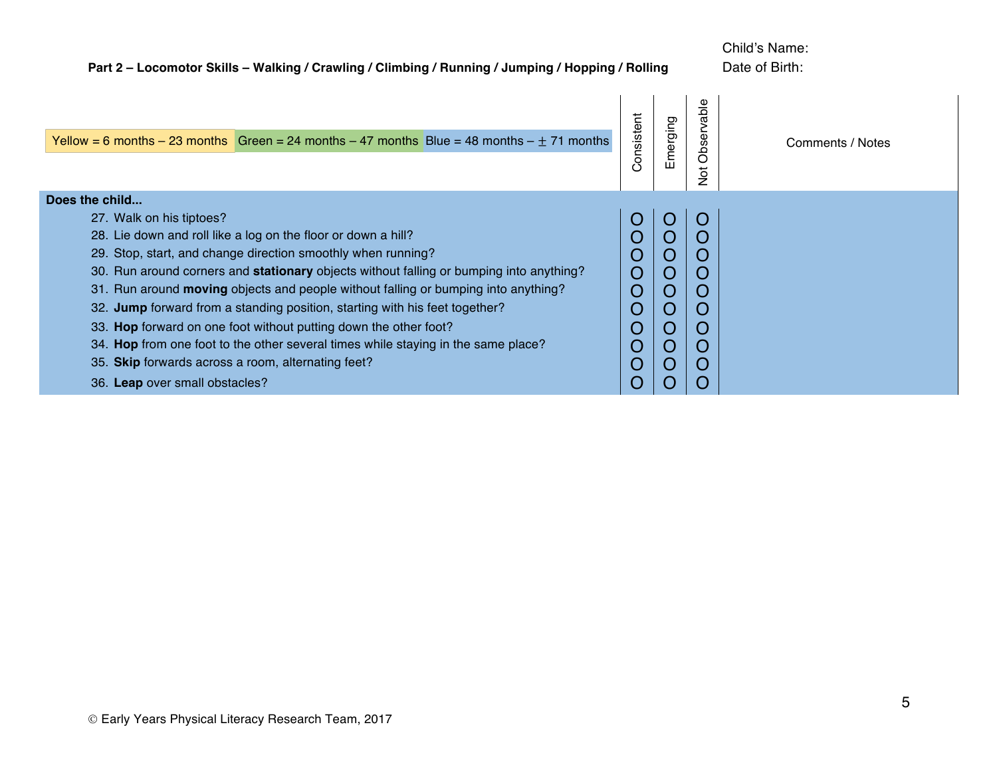| Part 2 - Locomotor Skills - Walking / Crawling / Climbing / Running / Jumping / Hopping / Rolling                                                                                                                                                                                                                                                                                                                                                                                                                                                                                                                                                                                            |                                                                                                           | Child's Name:<br>Date of Birth:   |                                 |                  |
|----------------------------------------------------------------------------------------------------------------------------------------------------------------------------------------------------------------------------------------------------------------------------------------------------------------------------------------------------------------------------------------------------------------------------------------------------------------------------------------------------------------------------------------------------------------------------------------------------------------------------------------------------------------------------------------------|-----------------------------------------------------------------------------------------------------------|-----------------------------------|---------------------------------|------------------|
| Yellow = 6 months - 23 months Green = 24 months - 47 months Blue = 48 months - $\pm$ 71 months                                                                                                                                                                                                                                                                                                                                                                                                                                                                                                                                                                                               | Consistent                                                                                                | Emerging                          | Observable<br>$\frac{5}{2}$     | Comments / Notes |
| Does the child<br>27. Walk on his tiptoes?<br>28. Lie down and roll like a log on the floor or down a hill?<br>29. Stop, start, and change direction smoothly when running?<br>30. Run around corners and stationary objects without falling or bumping into anything?<br>31. Run around moving objects and people without falling or bumping into anything?<br>32. Jump forward from a standing position, starting with his feet together?<br>33. Hop forward on one foot without putting down the other foot?<br>34. Hop from one foot to the other several times while staying in the same place?<br>35. Skip forwards across a room, alternating feet?<br>36. Leap over small obstacles? | $\overline{C}$<br>O<br>$\mathbf O$<br>$\mathbf O$<br>$\overline{O}$<br>Ő<br>O<br>O<br>$\overline{O}$<br>Ő | O<br>O<br>Ő<br>O<br>Ő<br>( )<br>0 | C<br>O<br>Ő<br>O<br>U<br>O<br>0 |                  |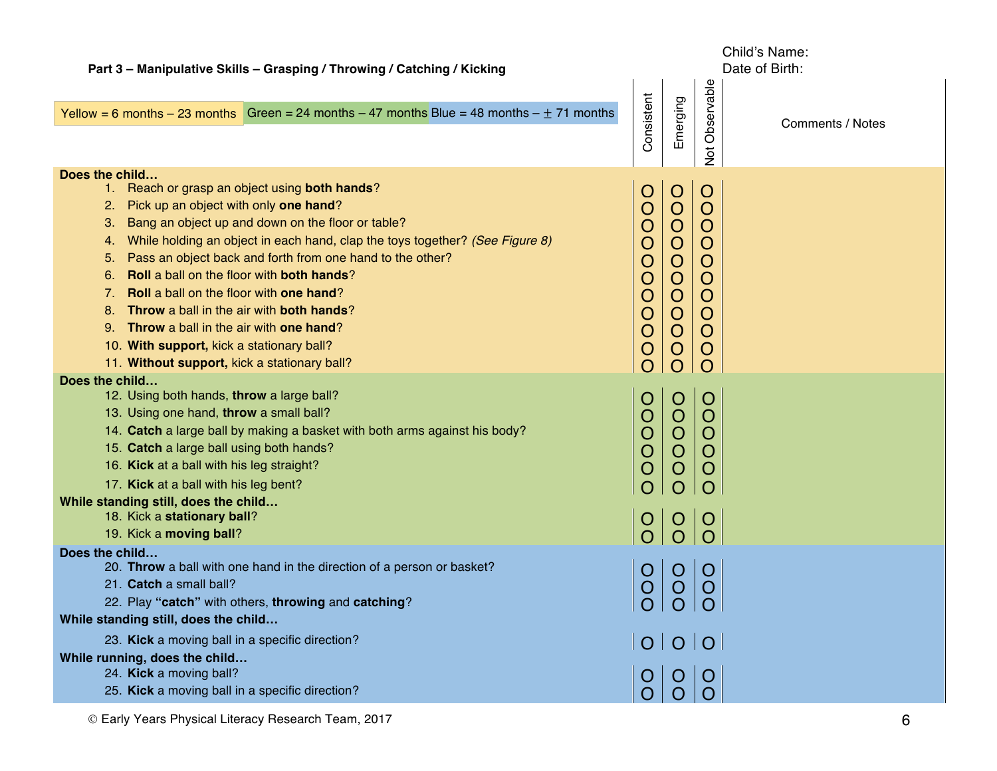| Part 3 - Manipulative Skills - Grasping / Throwing / Catching / Kicking                                                                                                                                                                                                                                                                                                                                                                                                                                                                                                                                                                        |                                                                                              |                                                                                                                                                                                              |                                                                                                                             | Child's Name:<br>Date of Birth: |
|------------------------------------------------------------------------------------------------------------------------------------------------------------------------------------------------------------------------------------------------------------------------------------------------------------------------------------------------------------------------------------------------------------------------------------------------------------------------------------------------------------------------------------------------------------------------------------------------------------------------------------------------|----------------------------------------------------------------------------------------------|----------------------------------------------------------------------------------------------------------------------------------------------------------------------------------------------|-----------------------------------------------------------------------------------------------------------------------------|---------------------------------|
| Yellow = 6 months - 23 months Green = 24 months - 47 months Blue = 48 months - $\pm$ 71 months                                                                                                                                                                                                                                                                                                                                                                                                                                                                                                                                                 | Consistent                                                                                   | Emerging                                                                                                                                                                                     | Observable<br>$\overline{5}$                                                                                                | <b>Comments / Notes</b>         |
| Does the child<br>1. Reach or grasp an object using both hands?<br>2. Pick up an object with only one hand?<br>Bang an object up and down on the floor or table?<br>З.<br>While holding an object in each hand, clap the toys together? (See Figure 8)<br>4.<br>Pass an object back and forth from one hand to the other?<br>5.<br>Roll a ball on the floor with both hands?<br>6.<br><b>Roll</b> a ball on the floor with <b>one hand</b> ?<br>7.<br>Throw a ball in the air with both hands?<br>8.<br>9. Throw a ball in the air with one hand?<br>10. With support, kick a stationary ball?<br>11. Without support, kick a stationary ball? | $\overline{O}$<br>O<br>O<br>O<br>O<br>O<br>O<br>O<br>O<br>$\overline{O}$<br>$\left( \right)$ | $\overline{O}$<br>$\overline{O}$<br>$\overline{O}$<br>$\overline{O}$<br>$\overline{O}$<br>$\overline{O}$<br>$\overline{O}$<br>$\overline{O}$<br>$\overline{O}$<br>$\overline{O}$<br>$\Omega$ | $\overline{O}$<br>$\overline{O}$<br>$\overline{O}$<br>$\overline{O}$<br>O<br>$\overline{O}$<br>O<br>O<br>O<br>O<br>$\Omega$ |                                 |
| Does the child<br>12. Using both hands, throw a large ball?<br>13. Using one hand, throw a small ball?<br>14. Catch a large ball by making a basket with both arms against his body?<br>15. Catch a large ball using both hands?<br>16. Kick at a ball with his leg straight?<br>17. Kick at a ball with his leg bent?<br>While standing still, does the child<br>18. Kick a stationary ball?<br>19. Kick a moving ball?                                                                                                                                                                                                                       | $\overline{O}$<br>O<br>$\bigcirc$<br>O<br>O<br>$\overline{O}$                                | $\overline{O}$<br>$\overline{O}$<br>$\overline{O}$<br>$\overline{O}$<br>O<br>O<br>$\circ$<br>$\overline{O}$                                                                                  | $\circ$<br>O<br>O<br>O<br>Ő<br>Ő<br>$\circ$                                                                                 |                                 |
| Does the child<br>20. Throw a ball with one hand in the direction of a person or basket?<br>21. Catch a small ball?<br>22. Play "catch" with others, throwing and catching?<br>While standing still, does the child<br>23. Kick a moving ball in a specific direction?<br>While running, does the child<br>24. Kick a moving ball?<br>25. Kick a moving ball in a specific direction?                                                                                                                                                                                                                                                          | O<br>O<br>$\overline{O}$                                                                     | O<br>O<br>$ O $ $O$ $ O $<br> O O O <br>$\overline{O}$                                                                                                                                       |                                                                                                                             |                                 |
| © Early Years Physical Literacy Research Team, 2017                                                                                                                                                                                                                                                                                                                                                                                                                                                                                                                                                                                            |                                                                                              |                                                                                                                                                                                              |                                                                                                                             | 6                               |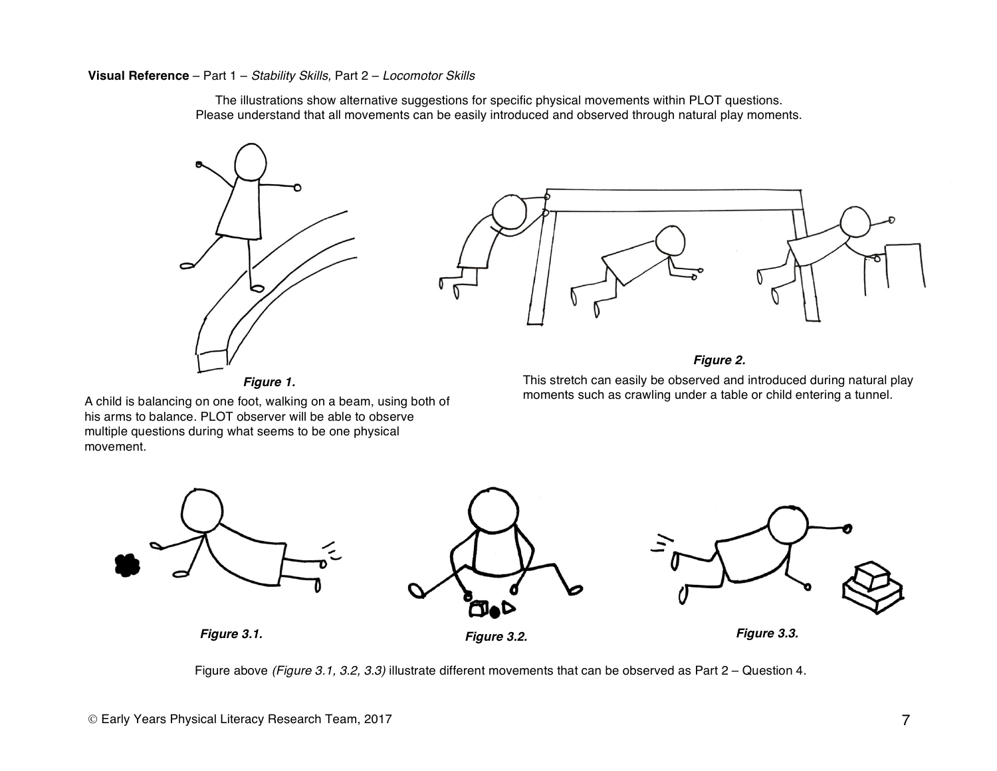**Visual Reference** – Part 1 – *Stability Skills,* Part 2 – *Locomotor Skills* 

The illustrations show alternative suggestions for specific physical movements within PLOT questions. Please understand that all movements can be easily introduced and observed through natural play moments.





This stretch can easily be observed and introduced during natural play moments such as crawling under a table or child entering a tunnel.

A child is balancing on one foot, walking on a beam, using both of his arms to balance. PLOT observer will be able to observe multiple questions during what seems to be one physical movement.



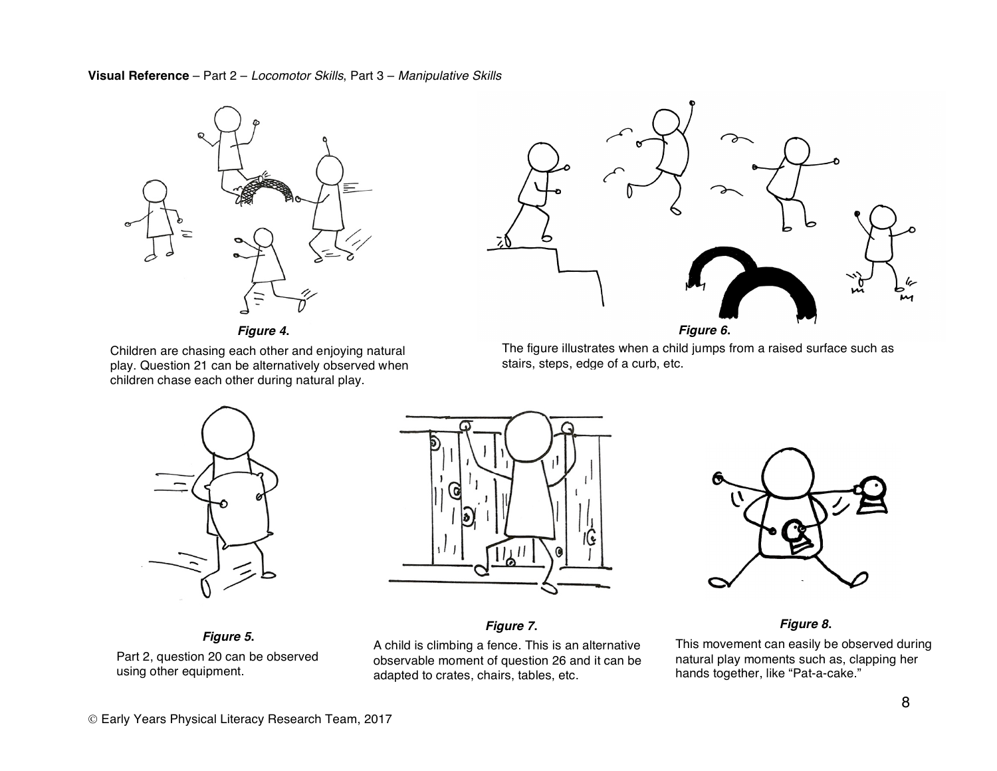**Visual Reference** – Part 2 – *Locomotor Skills*, Part 3 – *Manipulative Skills*



*Figure 4***.**

Children are chasing each other and enjoying natural play. Question 21 can be alternatively observed when children chase each other during natural play.



*Figure 6***.**

The figure illustrates when a child jumps from a raised surface such as stairs, steps, edge of a curb, etc.



*Figure 5***.** Part 2, question 20 can be observed using other equipment.



*Figure 7***.**

A child is climbing a fence. This is an alternative observable moment of question 26 and it can be adapted to crates, chairs, tables, etc.



*Figure 8***.**

This movement can easily be observed during natural play moments such as, clapping her hands together, like "Pat-a-cake."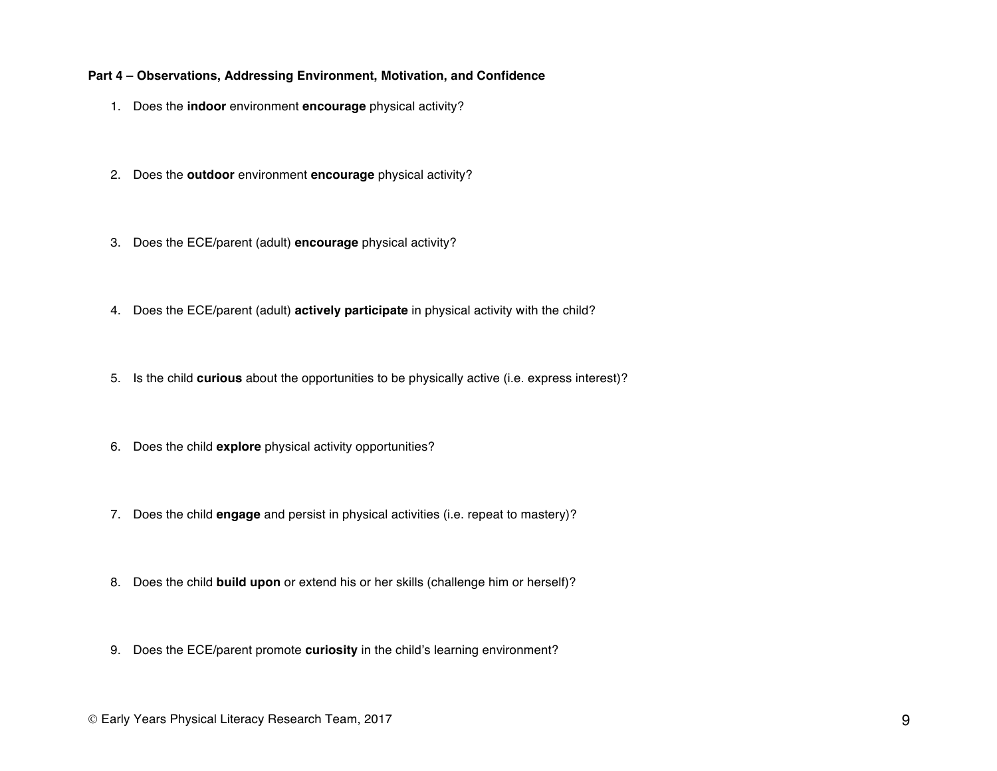#### **Part 4 – Observations, Addressing Environment, Motivation, and Confidence**

- 1. Does the **indoor** environment **encourage** physical activity?
- 2. Does the **outdoor** environment **encourage** physical activity?
- 3. Does the ECE/parent (adult) **encourage** physical activity?
- 4. Does the ECE/parent (adult) **actively participate** in physical activity with the child?
- 5. Is the child **curious** about the opportunities to be physically active (i.e. express interest)?
- 6. Does the child **explore** physical activity opportunities?
- 7. Does the child **engage** and persist in physical activities (i.e. repeat to mastery)?
- 8. Does the child **build upon** or extend his or her skills (challenge him or herself)?
- 9. Does the ECE/parent promote **curiosity** in the child's learning environment?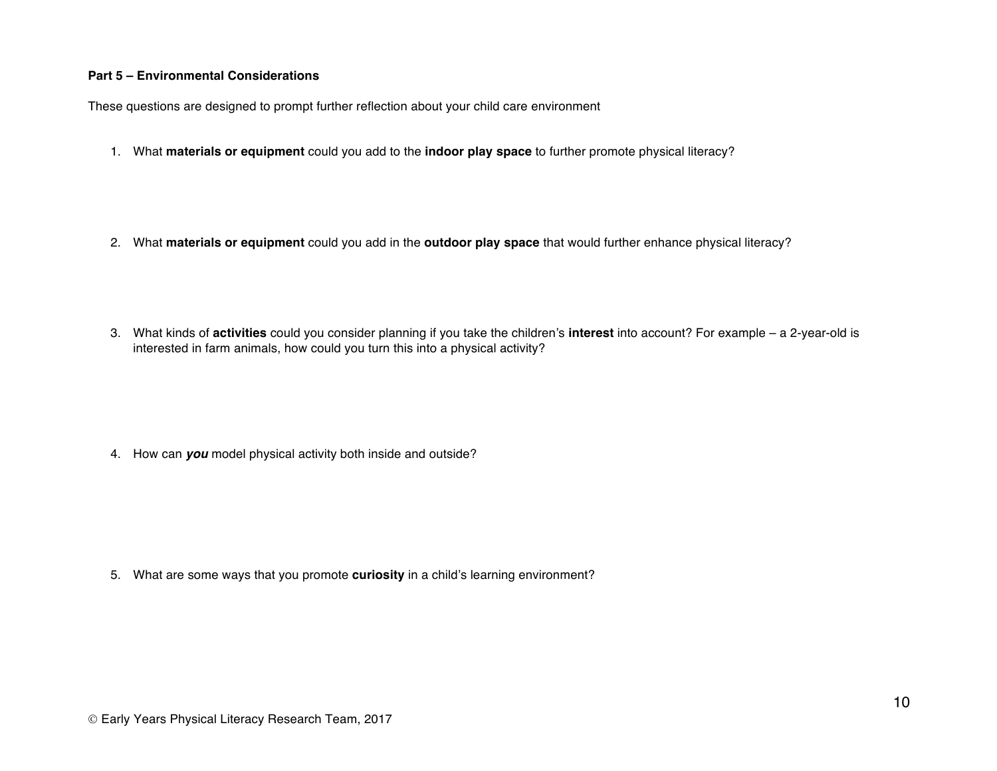#### **Part 5 – Environmental Considerations**

These questions are designed to prompt further reflection about your child care environment

- 1. What **materials or equipment** could you add to the **indoor play space** to further promote physical literacy?
- 2. What **materials or equipment** could you add in the **outdoor play space** that would further enhance physical literacy?
- 3. What kinds of **activities** could you consider planning if you take the children's **interest** into account? For example a 2-year-old is interested in farm animals, how could you turn this into a physical activity?

4. How can *you* model physical activity both inside and outside?

5. What are some ways that you promote **curiosity** in a child's learning environment?